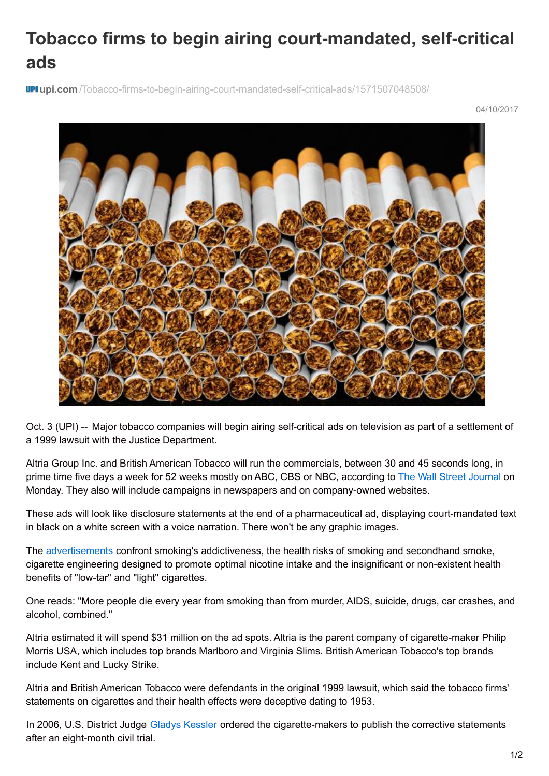## **Tobacco firms to begin airing court-mandated, self-critical ads**

**upi.com** [/Tobacco-firms-to-begin-airing-court-mandated-self-critical-ads/1571507048508/](https://www.upi.com/Tobacco-firms-to-begin-airing-court-mandated-self-critical-ads/1571507048508/)

04/10/2017



Oct. 3 (UPI) -- Major tobacco companies will begin airing self-critical ads on television as part of a settlement of a 1999 lawsuit with the Justice Department.

Altria Group Inc. and British American Tobacco will run the commercials, between 30 and 45 seconds long, in prime time five days a week for 52 weeks mostly on ABC, CBS or NBC, according to The Wall Street [Journal](https://www.wsj.com/articles/big-tobacco-to-spend-millions-on-self-critical-ads-in-u-s-1507024801) on Monday. They also will include campaigns in newspapers and on company-owned websites.

These ads will look like disclosure statements at the end of a pharmaceutical ad, displaying court-mandated text in black on a white screen with a voice narration. There won't be any graphic images.

The [advertisements](http://www.richmond.com/business/altria-other-tobacco-companies-will-run-corrective-statements-starting-in/article_05ebee91-2e5f-5de1-9f86-424544d784a9.html) confront smoking's addictiveness, the health risks of smoking and secondhand smoke, cigarette engineering designed to promote optimal nicotine intake and the insignificant or non-existent health benefits of "low-tar" and "light" cigarettes.

One reads: "More people die every year from smoking than from murder, AIDS, suicide, drugs, car crashes, and alcohol, combined."

Altria estimated it will spend \$31 million on the ad spots. Altria is the parent company of cigarette-maker Philip Morris USA, which includes top brands Marlboro and Virginia Slims. British American Tobacco's top brands include Kent and Lucky Strike.

Altria and British American Tobacco were defendants in the original 1999 lawsuit, which said the tobacco firms' statements on cigarettes and their health effects were deceptive dating to 1953.

In 2006, U.S. District Judge Gladys [Kessler](https://www.upi.com/topic/Gladys_Kessler/) ordered the cigarette-makers to publish the corrective statements after an eight-month civil trial.